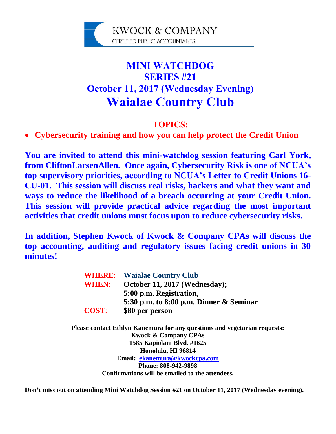

# **MINI WATCHDOG SERIES #21 October 11, 2017 (Wednesday Evening) Waialae Country Club**

### **TOPICS:**

## **Cybersecurity training and how you can help protect the Credit Union**

**You are invited to attend this mini-watchdog session featuring Carl York, from CliftonLarsenAllen. Once again, Cybersecurity Risk is one of NCUA's top supervisory priorities, according to NCUA's Letter to Credit Unions 16- CU-01. This session will discuss real risks, hackers and what they want and ways to reduce the likelihood of a breach occurring at your Credit Union. This session will provide practical advice regarding the most important activities that credit unions must focus upon to reduce cybersecurity risks.** 

**In addition, Stephen Kwock of Kwock & Company CPAs will discuss the top accounting, auditing and regulatory issues facing credit unions in 30 minutes!**

| <b>WHERE:</b> | <b>Waialae Country Club</b>                |
|---------------|--------------------------------------------|
| <b>WHEN:</b>  | October 11, 2017 (Wednesday);              |
|               | 5:00 p.m. Registration,                    |
|               | 5:30 p.m. to 8:00 p.m. Dinner $\&$ Seminar |
| <b>COST:</b>  | \$80 per person                            |

**Please contact Ethlyn Kanemura for any questions and vegetarian requests: Kwock & Company CPAs 1585 Kapiolani Blvd. #1625 Honolulu, HI 96814 Email: ekanemura@kwockcpa.com Phone: 808-942-9898 Confirmations will be emailed to the attendees.**

**Don't miss out on attending Mini Watchdog Session #21 on October 11, 2017 (Wednesday evening).**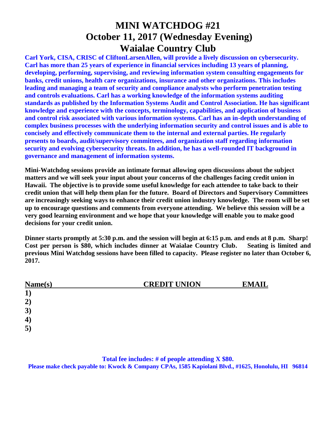## **MINI WATCHDOG #21 October 11, 2017 (Wednesday Evening) Waialae Country Club**

**Carl York, CISA, CRISC of CliftonLarsenAllen, will provide a lively discussion on cybersecurity. Carl has more than 25 years of experience in financial services including 13 years of planning, developing, performing, supervising, and reviewing information system consulting engagements for banks, credit unions, health care organizations, insurance and other organizations. This includes leading and managing a team of security and compliance analysts who perform penetration testing and controls evaluations. Carl has a working knowledge of the information systems auditing standards as published by the Information Systems Audit and Control Association. He has significant knowledge and experience with the concepts, terminology, capabilities, and application of business and control risk associated with various information systems. Carl has an in-depth understanding of complex business processes with the underlying information security and control issues and is able to concisely and effectively communicate them to the internal and external parties. He regularly presents to boards, audit/supervisory committees, and organization staff regarding information security and evolving cybersecurity threats. In addition, he has a well-rounded IT background in governance and management of information systems.**

**Mini-Watchdog sessions provide an intimate format allowing open discussions about the subject matters and we will seek your input about your concerns of the challenges facing credit union in Hawaii. The objective is to provide some useful knowledge for each attendee to take back to their credit union that will help them plan for the future. Board of Directors and Supervisory Committees are increasingly seeking ways to enhance their credit union industry knowledge. The room will be set up to encourage questions and comments from everyone attending. We believe this session will be a very good learning environment and we hope that your knowledge will enable you to make good decisions for your credit union.**

**Dinner starts promptly at 5:30 p.m. and the session will begin at 6:15 p.m. and ends at 8 p.m. Sharp! Cost per person is \$80, which includes dinner at Waialae Country Club. Seating is limited and previous Mini Watchdog sessions have been filled to capacity. Please register no later than October 6, 2017.**

| Name(s)          | <b>CREDIT UNION</b> | <b>EMAIL</b> |
|------------------|---------------------|--------------|
| $\mathbf{1})$    |                     |              |
| 2)               |                     |              |
| 3)               |                     |              |
| $\boldsymbol{4}$ |                     |              |
| 5)               |                     |              |

#### **Total fee includes: # of people attending X \$80.**

**Please make check payable to: Kwock & Company CPAs, 1585 Kapiolani Blvd., #1625, Honolulu, HI 96814**